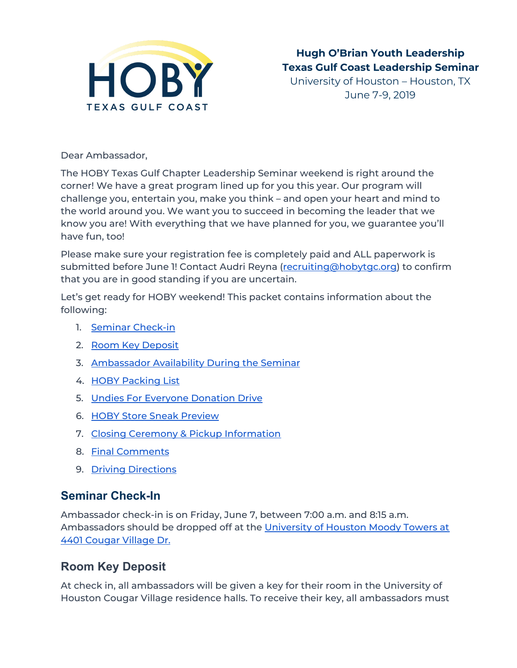

Dear Ambassador,

The HOBY Texas Gulf Chapter Leadership Seminar weekend is right around the corner! We have a great program lined up for you this year. Our program will challenge you, entertain you, make you think – and open your heart and mind to the world around you. We want you to succeed in becoming the leader that we know you are! With everything that we have planned for you, we guarantee you'll have fun, too!

Please make sure your registration fee is completely paid and ALL paperwork is submitted before June 1! Contact Audri Reyna [\(recruiting@hobytgc.org\)](mailto:recruiting@hobytgc.org) to confirm that you are in good standing if you are uncertain.

Let's get ready for HOBY weekend! This packet contains information about the following:

- 1. Seminar [Check-in](#page-0-0)
- 2. Room Key Deposit
- 3. [Ambassador](#page-1-0) Availability During the Seminar
- 4. HOBY [Packing](#page-1-1) List
- 5. Undies For Everyone [Donation](#page-3-0) Drive
- 6. HOBY Store Sneak [Preview](#page-4-0)
- 7. Closing Ceremony & Pickup [Information](#page-4-1)
- 8. Final [Comments](#page-5-0)
- 9. Driving [Directions](#page-5-1)

### <span id="page-0-0"></span>**Seminar Check-In**

Ambassador check-in is on Friday, June 7, between 7:00 a.m. and 8:15 a.m. Ambassadors should be dropped off at the [University](https://goo.gl/maps/U9J3YHAGApv) of Houston Moody Towers at 4401 [Cougar](https://goo.gl/maps/U9J3YHAGApv) Village Dr.

## **Room Key Deposit**

At check in, all ambassadors will be given a key for their room in the University of Houston Cougar Village residence halls. To receive their key, all ambassadors must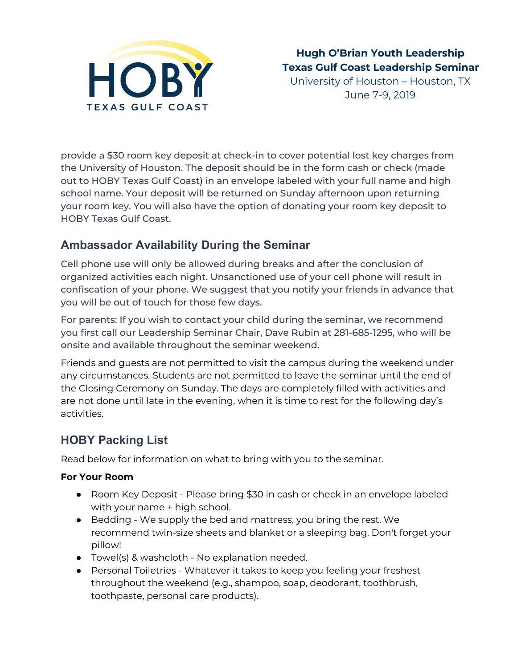

June 7-9, 2019

provide a \$30 room key deposit at check-in to cover potential lost key charges from the University of Houston. The deposit should be in the form cash or check (made out to HOBY Texas Gulf Coast) in an envelope labeled with your full name and high school name. Your deposit will be returned on Sunday afternoon upon returning your room key. You will also have the option of donating your room key deposit to HOBY Texas Gulf Coast.

## <span id="page-1-0"></span>**Ambassador Availability During the Seminar**

Cell phone use will only be allowed during breaks and after the conclusion of organized activities each night. Unsanctioned use of your cell phone will result in confiscation of your phone. We suggest that you notify your friends in advance that you will be out of touch for those few days.

For parents: If you wish to contact your child during the seminar, we recommend you first call our Leadership Seminar Chair, Dave Rubin at 281-685-1295, who will be onsite and available throughout the seminar weekend.

Friends and guests are not permitted to visit the campus during the weekend under any circumstances. Students are not permitted to leave the seminar until the end of the Closing Ceremony on Sunday. The days are completely filled with activities and are not done until late in the evening, when it is time to rest for the following day's activities.

## <span id="page-1-1"></span>**HOBY Packing List**

Read below for information on what to bring with you to the seminar.

### **For Your Room**

- Room Key Deposit Please bring \$30 in cash or check in an envelope labeled with your name + high school.
- Bedding We supply the bed and mattress, you bring the rest. We recommend twin-size sheets and blanket or a sleeping bag. Don't forget your pillow!
- Towel(s) & washcloth No explanation needed.
- Personal Toiletries Whatever it takes to keep you feeling your freshest throughout the weekend (e.g., shampoo, soap, deodorant, toothbrush, toothpaste, personal care products).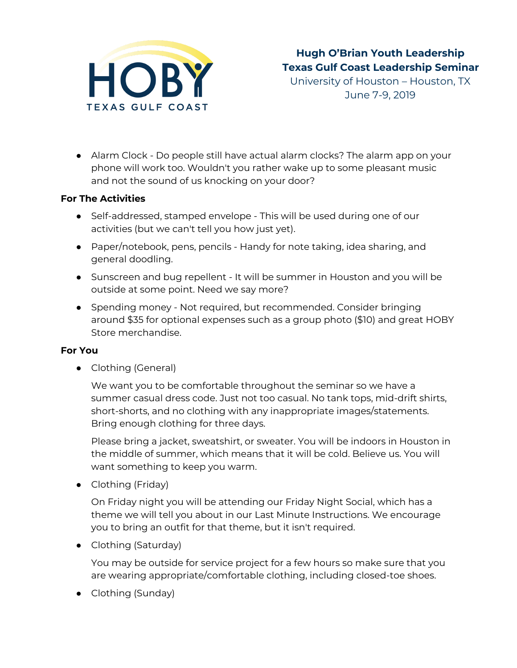

June 7-9, 2019

● Alarm Clock - Do people still have actual alarm clocks? The alarm app on your phone will work too. Wouldn't you rather wake up to some pleasant music and not the sound of us knocking on your door?

#### **For The Activities**

- Self-addressed, stamped envelope This will be used during one of our activities (but we can't tell you how just yet).
- Paper/notebook, pens, pencils Handy for note taking, idea sharing, and general doodling.
- Sunscreen and bug repellent It will be summer in Houston and you will be outside at some point. Need we say more?
- Spending money Not required, but recommended. Consider bringing around \$35 for optional expenses such as a group photo (\$10) and great HOBY Store merchandise.

#### **For You**

• Clothing (General)

We want you to be comfortable throughout the seminar so we have a summer casual dress code. Just not too casual. No tank tops, mid-drift shirts, short-shorts, and no clothing with any inappropriate images/statements. Bring enough clothing for three days.

Please bring a jacket, sweatshirt, or sweater. You will be indoors in Houston in the middle of summer, which means that it will be cold. Believe us. You will want something to keep you warm.

• Clothing (Friday)

On Friday night you will be attending our Friday Night Social, which has a theme we will tell you about in our Last Minute Instructions. We encourage you to bring an outfit for that theme, but it isn't required.

• Clothing (Saturday)

You may be outside for service project for a few hours so make sure that you are wearing appropriate/comfortable clothing, including closed-toe shoes.

• Clothing (Sunday)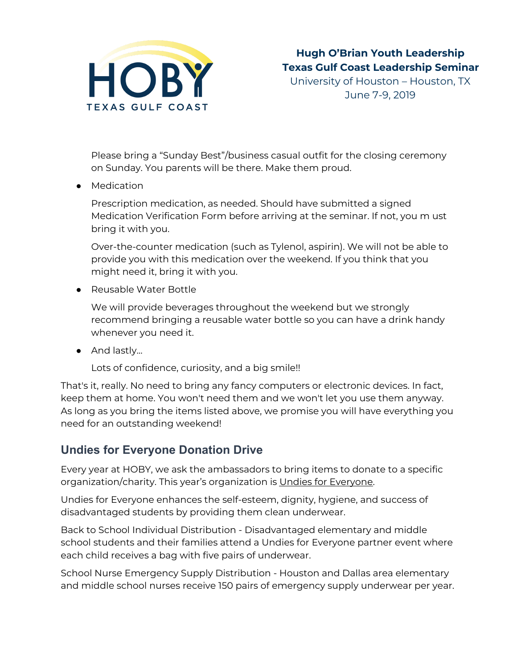

Please bring a "Sunday Best"/business casual outfit for the closing ceremony on Sunday. You parents will be there. Make them proud.

● Medication

Prescription medication, as needed. Should have submitted a signed Medication Verification Form before arriving at the seminar. If not, you m ust bring it with you.

Over-the-counter medication (such as Tylenol, aspirin). We will not be able to provide you with this medication over the weekend. If you think that you might need it, bring it with you.

● Reusable Water Bottle

We will provide beverages throughout the weekend but we strongly recommend bringing a reusable water bottle so you can have a drink handy whenever you need it.

● And lastly...

Lots of confidence, curiosity, and a big smile!!

That's it, really. No need to bring any fancy computers or electronic devices. In fact, keep them at home. You won't need them and we won't let you use them anyway. As long as you bring the items listed above, we promise you will have everything you need for an outstanding weekend!

# <span id="page-3-0"></span>**Undies for Everyone Donation Drive**

Every year at HOBY, we ask the ambassadors to bring items to donate to a specific organization/charity. This year's organization is Undies for [Everyone.](https://www.undiesforeveryone.org/)

Undies for Everyone enhances the self-esteem, dignity, hygiene, and success of disadvantaged students by providing them clean underwear.

Back to School Individual Distribution - Disadvantaged elementary and middle school students and their families attend a Undies for Everyone partner event where each child receives a bag with five pairs of underwear.

School Nurse Emergency Supply Distribution - Houston and Dallas area elementary and middle school nurses receive 150 pairs of emergency supply underwear per year.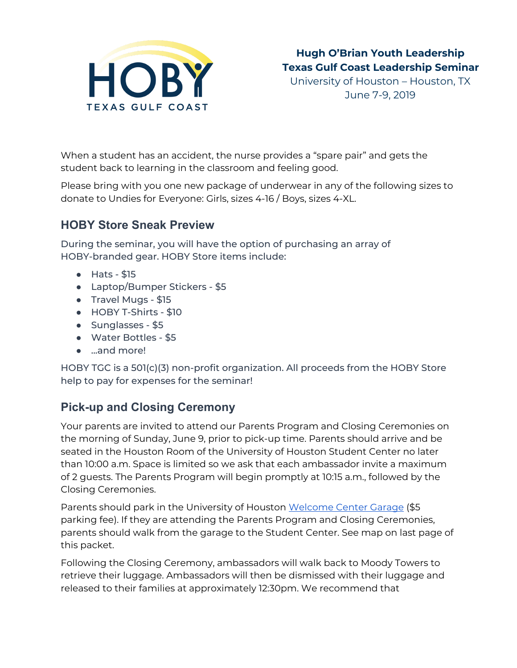

When a student has an accident, the nurse provides a "spare pair" and gets the student back to learning in the classroom and feeling good.

Please bring with you one new package of underwear in any of the following sizes to donate to Undies for Everyone: Girls, sizes 4-16 / Boys, sizes 4-XL.

### <span id="page-4-0"></span>**HOBY Store Sneak Preview**

During the seminar, you will have the option of purchasing an array of HOBY-branded gear. HOBY Store items include:

- Hats \$15
- Laptop/Bumper Stickers \$5
- Travel Mugs \$15
- HOBY T-Shirts \$10
- Sunglasses \$5
- Water Bottles \$5
- ...and more!

HOBY TGC is a 501(c)(3) non-profit organization. All proceeds from the HOBY Store help to pay for expenses for the seminar!

# <span id="page-4-1"></span>**Pick-up and Closing Ceremony**

Your parents are invited to attend our Parents Program and Closing Ceremonies on the morning of Sunday, June 9, prior to pick-up time. Parents should arrive and be seated in the Houston Room of the University of Houston Student Center no later than 10:00 a.m. Space is limited so we ask that each ambassador invite a maximum of 2 guests. The Parents Program will begin promptly at 10:15 a.m., followed by the Closing Ceremonies.

Parents should park in the University of Houston [Welcome](https://www.google.com/maps/place/University+of+Houston+Welcome+Center/@29.7184028,-95.3422361,17z/data=!3m1!4b1!4m5!3m4!1s0x8640be5af6e41a83:0xf3299cd157156660!8m2!3d29.7184028!4d-95.3400474) Center Garage (\$5 parking fee). If they are attending the Parents Program and Closing Ceremonies, parents should walk from the garage to the Student Center. See map on last page of this packet.

Following the Closing Ceremony, ambassadors will walk back to Moody Towers to retrieve their luggage. Ambassadors will then be dismissed with their luggage and released to their families at approximately 12:30pm. We recommend that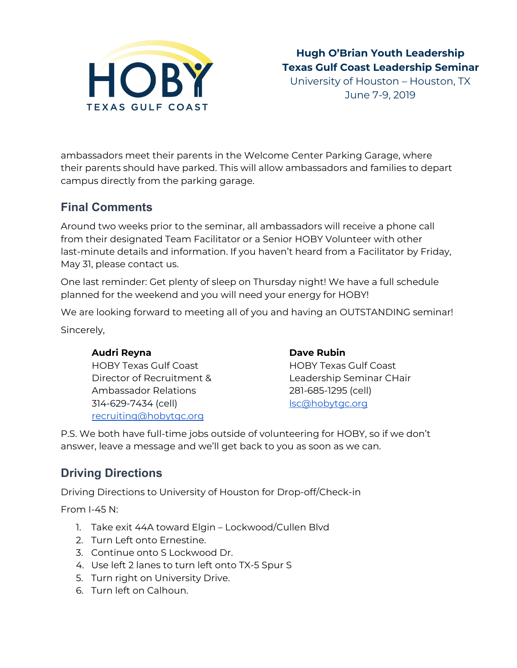

June 7-9, 2019

ambassadors meet their parents in the Welcome Center Parking Garage, where their parents should have parked. This will allow ambassadors and families to depart campus directly from the parking garage.

## <span id="page-5-0"></span>**Final Comments**

Around two weeks prior to the seminar, all ambassadors will receive a phone call from their designated Team Facilitator or a Senior HOBY Volunteer with other last-minute details and information. If you haven't heard from a Facilitator by Friday, May 31, please contact us.

One last reminder: Get plenty of sleep on Thursday night! We have a full schedule planned for the weekend and you will need your energy for HOBY!

We are looking forward to meeting all of you and having an OUTSTANDING seminar! Sincerely,

### **Audri Reyna**

HOBY Texas Gulf Coast Director of Recruitment & Ambassador Relations 314-629-7434 (cell) [recruiting@hobytgc.org](mailto:recruiting@hobytgc.org)

#### **Dave Rubin**

HOBY Texas Gulf Coast Leadership Seminar CHair 281-685-1295 (cell) [lsc@hobytgc.org](mailto:lsc@hobytgc.org)

P.S. We both have full-time jobs outside of volunteering for HOBY, so if we don't answer, leave a message and we'll get back to you as soon as we can.

# <span id="page-5-1"></span>**Driving Directions**

Driving Directions to University of Houston for Drop-off/Check-in

From I-45 N:

- 1. Take exit 44A toward Elgin Lockwood/Cullen Blvd
- 2. Turn Left onto Ernestine.
- 3. Continue onto S Lockwood Dr.
- 4. Use left 2 lanes to turn left onto TX-5 Spur S
- 5. Turn right on University Drive.
- 6. Turn left on Calhoun.